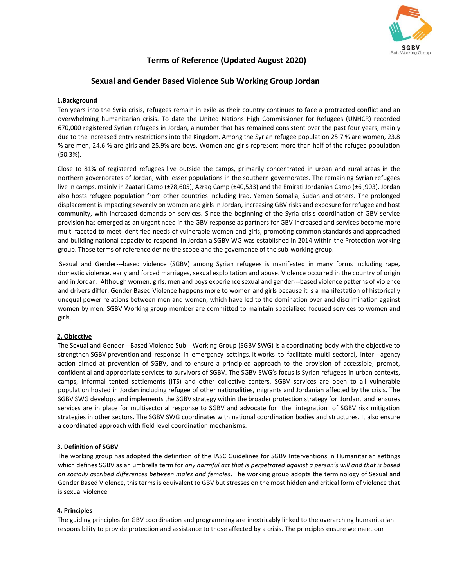

# **Terms of Reference (Updated August 2020)**

# **Sexual and Gender Based Violence Sub Working Group Jordan**

# **1.Background**

Ten years into the Syria crisis, refugees remain in exile as their country continues to face a protracted conflict and an overwhelming humanitarian crisis. To date the United Nations High Commissioner for Refugees (UNHCR) recorded 670,000 registered Syrian refugees in Jordan, a number that has remained consistent over the past four years, mainly due to the increased entry restrictions into the Kingdom. Among the Syrian refugee population 25.7 % are women, 23.8 % are men, 24.6 % are girls and 25.9% are boys. Women and girls represent more than half of the refugee population (50.3%).

Close to 81% of registered refugees live outside the camps, primarily concentrated in urban and rural areas in the northern governorates of Jordan, with lesser populations in the southern governorates. The remaining Syrian refugees live in camps, mainly in Zaatari Camp (±78,605), Azraq Camp (±40,533) and the Emirati Jordanian Camp (±6 ,903). Jordan also hosts refugee population from other countries including Iraq, Yemen Somalia, Sudan and others. The prolonged displacement is impacting severely on women and girls in Jordan, increasing GBV risks and exposure for refugee and host community, with increased demands on services. Since the beginning of the Syria crisis coordination of GBV service provision has emerged as an urgent need in the GBV response as partners for GBV increased and services become more multi-faceted to meet identified needs of vulnerable women and girls, promoting common standards and approached and building national capacity to respond. In Jordan a SGBV WG was established in 2014 within the Protection working group. Those terms of reference define the scope and the governance of the sub-working group.

Sexual and Gender---based violence (SGBV) among Syrian refugees is manifested in many forms including rape, domestic violence, early and forced marriages, sexual exploitation and abuse. Violence occurred in the country of origin and in Jordan. Although women, girls, men and boys experience sexual and gender---based violence patterns of violence and drivers differ. Gender Based Violence happens more to women and girls because it is a manifestation of historically unequal power relations between men and women, which have led to the domination over and discrimination against women by men. SGBV Working group member are committed to maintain specialized focused services to women and girls.

# **2. Objective**

The Sexual and Gender---Based Violence Sub---Working Group (SGBV SWG) is a coordinating body with the objective to strengthen SGBV prevention and response in emergency settings. It works to facilitate multi sectoral, inter---agency action aimed at prevention of SGBV, and to ensure a principled approach to the provision of accessible, prompt, confidential and appropriate services to survivors of SGBV. The SGBV SWG's focus is Syrian refugees in urban contexts, camps, informal tented settlements (ITS) and other collective centers. SGBV services are open to all vulnerable population hosted in Jordan including refugee of other nationalities, migrants and Jordanian affected by the crisis. The SGBV SWG develops and implements the SGBV strategy within the broader protection strategy for Jordan, and ensures services are in place for multisectorial response to SGBV and advocate for the integration of SGBV risk mitigation strategies in other sectors. The SGBV SWG coordinates with national coordination bodies and structures. It also ensure a coordinated approach with field level coordination mechanisms.

#### **3. Definition of SGBV**

The working group has adopted the definition of the IASC Guidelines for SGBV Interventions in Humanitarian settings which defines SGBV as an umbrella term for *any harmful act that is perpetrated against a person's will and that is based on socially ascribed differences between males and females*. The working group adopts the terminology of Sexual and Gender Based Violence, this terms is equivalent to GBV but stresses on the most hidden and critical form of violence that is sexual violence.

#### **4. Principles**

The guiding principles for GBV coordination and programming are inextricably linked to the overarching humanitarian responsibility to provide protection and assistance to those affected by a crisis. The principles ensure we meet our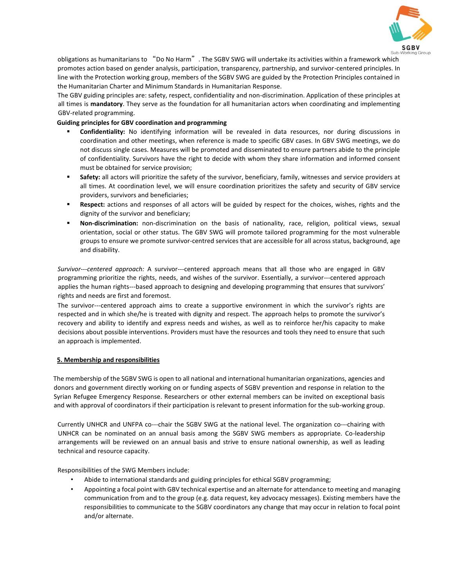

obligations as humanitarians to "Do No Harm". The SGBV SWG will undertake its activities within a framework which promotes action based on gender analysis, participation, transparency, partnership, and survivor-centered principles. In line with the Protection working group, members of the SGBV SWG are guided by the Protection Principles contained in the Humanitarian Charter and Minimum Standards in Humanitarian Response.

The GBV guiding principles are: safety, respect, confidentiality and non-discrimination. Application of these principles at all times is **mandatory**. They serve as the foundation for all humanitarian actors when coordinating and implementing GBV-related programming.

### **Guiding principles for GBV coordination and programming**

- **Confidentiality:** No identifying information will be revealed in data resources, nor during discussions in coordination and other meetings, when reference is made to specific GBV cases. In GBV SWG meetings, we do not discuss single cases. Measures will be promoted and disseminated to ensure partners abide to the principle of confidentiality. Survivors have the right to decide with whom they share information and informed consent must be obtained for service provision;
- **Safety:** all actors will prioritize the safety of the survivor, beneficiary, family, witnesses and service providers at all times. At coordination level, we will ensure coordination prioritizes the safety and security of GBV service providers, survivors and beneficiaries;
- **Respect:** actions and responses of all actors will be guided by respect for the choices, wishes, rights and the dignity of the survivor and beneficiary;
- **Non-discrimination:** non-discrimination on the basis of nationality, race, religion, political views, sexual orientation, social or other status. The GBV SWG will promote tailored programming for the most vulnerable groups to ensure we promote survivor-centred services that are accessible for all across status, background, age and disability.

*Survivor---centered approach:* A survivor---centered approach means that all those who are engaged in GBV programming prioritize the rights, needs, and wishes of the survivor. Essentially, a survivor---centered approach applies the human rights---based approach to designing and developing programming that ensures that survivors' rights and needs are first and foremost.

The survivor---centered approach aims to create a supportive environment in which the survivor's rights are respected and in which she/he is treated with dignity and respect. The approach helps to promote the survivor's recovery and ability to identify and express needs and wishes, as well as to reinforce her/his capacity to make decisions about possible interventions. Providers must have the resources and tools they need to ensure that such an approach is implemented.

# **5. Membership and responsibilities**

The membership of the SGBV SWG is open to all national and international humanitarian organizations, agencies and donors and government directly working on or funding aspects of SGBV prevention and response in relation to the Syrian Refugee Emergency Response. Researchers or other external members can be invited on exceptional basis and with approval of coordinators if their participation is relevant to present information for the sub-working group.

Currently UNHCR and UNFPA co---chair the SGBV SWG at the national level. The organization co---chairing with UNHCR can be nominated on an annual basis among the SGBV SWG members as appropriate. Co-leadership arrangements will be reviewed on an annual basis and strive to ensure national ownership, as well as leading technical and resource capacity.

Responsibilities of the SWG Members include:

- Abide to international standards and guiding principles for ethical SGBV programming;
- Appointing a focal point with GBV technical expertise and an alternate for attendance to meeting and managing communication from and to the group (e.g. data request, key advocacy messages). Existing members have the responsibilities to communicate to the SGBV coordinators any change that may occur in relation to focal point and/or alternate.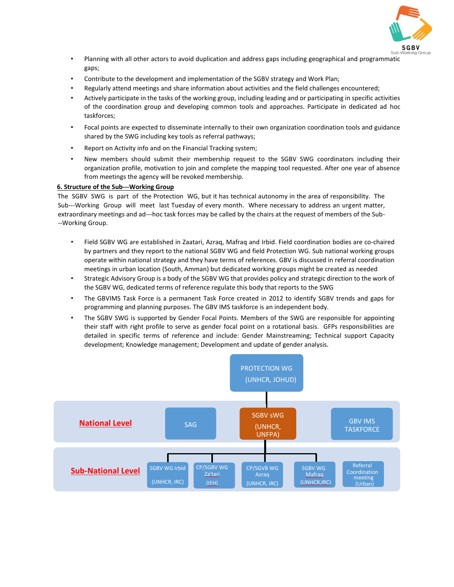

- Planning with all other actors to avoid duplication and address gaps including geographical and programmatic gaps;
- Contribute to the development and implementation of the SGBV strategy and Work Plan;
- Regularly attend meetings and share information about activities and the field challenges encountered;
- Actively participate in the tasks of the working group, including leading and or participating in specific activities of the coordination group and developing common tools and approaches. Participate in dedicated ad hoc taskforces;
- Focal points are expected to disseminate internally to their own organization coordination tools and guidance shared by the SWG including key tools as referral pathways;
- Report on Activity info and on the Financial Tracking system;
- New members should submit their membership request to the SGBV SWG coordinators including their organization profile, motivation to join and complete the mapping tool requested. After one year of absence from meetings the agency will be revoked membership.

### **6. Structure of the Sub---Working Group**

The SGBV SWG is part of the Protection WG, but it has technical autonomy in the area of responsibility. The Sub---Working Group will meet last Tuesday of every month. Where necessary to address an urgent matter, extraordinary meetings and ad---hoc task forces may be called by the chairs at the request of members of the Sub- --Working Group.

- Field SGBV WG are established in Zaatari, Azraq, Mafraq and Irbid. Field coordination bodies are co-chaired by partners and they report to the national SGBV WG and field Protection WG. Sub national working groups operate within national strategy and they have terms of references. GBV is discussed in referral coordination meetings in urban location (South, Amman) but dedicated working groups might be created as needed
- Strategic Advisory Group is a body of the SGBV WG that provides policy and strategic direction to the work of the SGBV WG, dedicated terms of reference regulate this body that reports to the SWG
- The GBVIMS Task Force is a permanent Task Force created in 2012 to identify SGBV trends and gaps for programming and planning purposes. The GBV IMS taskforce is an independent body.
- The SGBV SWG is supported by Gender Focal Points. Members of the SWG are responsible for appointing their staff with right profile to serve as gender focal point on a rotational basis. GFPs responsibilities are detailed in specific terms of reference and include: Gender Mainstreaming; Technical support Capacity development; Knowledge management; Development and update of gender analysis.

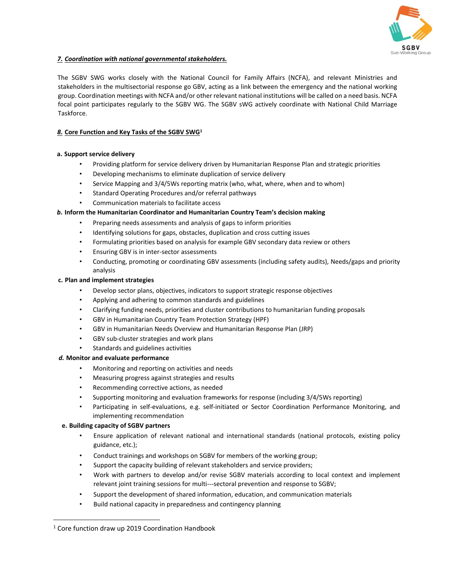

# *7. Coordination with national governmental stakeholders.*

The SGBV SWG works closely with the National Council for Family Affairs (NCFA), and relevant Ministries and stakeholders in the multisectorial response go GBV, acting as a link between the emergency and the national working group. Coordination meetings with NCFA and/or other relevant national institutions will be called on a need basis. NCFA focal point participates regularly to the SGBV WG. The SGBV sWG actively coordinate with National Child Marriage Taskforce.

# *8.* **Core Function and Key Tasks of the SGBV SWG<sup>1</sup>**

# **a. Support service delivery**

- Providing platform for service delivery driven by Humanitarian Response Plan and strategic priorities
- Developing mechanisms to eliminate duplication of service delivery
- Service Mapping and 3/4/5Ws reporting matrix (who, what, where, when and to whom)
- Standard Operating Procedures and/or referral pathways
- Communication materials to facilitate access

# *b.* **Inform the Humanitarian Coordinator and Humanitarian Country Team's decision making**

- Preparing needs assessments and analysis of gaps to inform priorities
- Identifying solutions for gaps, obstacles, duplication and cross cutting issues
- Formulating priorities based on analysis for example GBV secondary data review or others
- Ensuring GBV is in inter-sector assessments
- Conducting, promoting or coordinating GBV assessments (including safety audits), Needs/gaps and priority analysis

# **c. Plan and implement strategies**

- Develop sector plans, objectives, indicators to support strategic response objectives
- Applying and adhering to common standards and guidelines
- Clarifying funding needs, priorities and cluster contributions to humanitarian funding proposals
- GBV in Humanitarian Country Team Protection Strategy (HPF)
- GBV in Humanitarian Needs Overview and Humanitarian Response Plan (JRP)
- GBV sub-cluster strategies and work plans
- Standards and guidelines activities

# *d.* **Monitor and evaluate performance**

- Monitoring and reporting on activities and needs
- Measuring progress against strategies and results
- Recommending corrective actions, as needed
- Supporting monitoring and evaluation frameworks for response (including 3/4/5Ws reporting)
- Participating in self-evaluations, e.g. self-initiated or Sector Coordination Performance Monitoring, and implementing recommendation

# **e. Building capacity of SGBV partners**

 $\overline{a}$ 

- Ensure application of relevant national and international standards (national protocols, existing policy guidance, etc.);
- Conduct trainings and workshops on SGBV for members of the working group;
- Support the capacity building of relevant stakeholders and service providers;
- Work with partners to develop and/or revise SGBV materials according to local context and implement relevant joint training sessions for multi---sectoral prevention and response to SGBV;
- Support the development of shared information, education, and communication materials
- Build national capacity in preparedness and contingency planning

<sup>&</sup>lt;sup>1</sup> Core function draw up 2019 Coordination Handbook